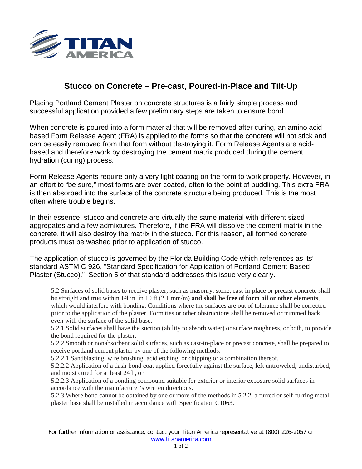

## **Stucco on Concrete – Pre-cast, Poured-in-Place and Tilt-Up**

Placing Portland Cement Plaster on concrete structures is a fairly simple process and successful application provided a few preliminary steps are taken to ensure bond.

When concrete is poured into a form material that will be removed after curing, an amino acidbased Form Release Agent (FRA) is applied to the forms so that the concrete will not stick and can be easily removed from that form without destroying it. Form Release Agents are acidbased and therefore work by destroying the cement matrix produced during the cement hydration (curing) process.

Form Release Agents require only a very light coating on the form to work properly. However, in an effort to "be sure," most forms are over-coated, often to the point of puddling. This extra FRA is then absorbed into the surface of the concrete structure being produced. This is the most often where trouble begins.

In their essence, stucco and concrete are virtually the same material with different sized aggregates and a few admixtures. Therefore, if the FRA will dissolve the cement matrix in the concrete, it will also destroy the matrix in the stucco. For this reason, all formed concrete products must be washed prior to application of stucco.

The application of stucco is governed by the Florida Building Code which references as its' standard ASTM C 926, "Standard Specification for Application of Portland Cement-Based Plaster (Stucco)." Section 5 of that standard addresses this issue very clearly.

5.2 Surfaces of solid bases to receive plaster, such as masonry, stone, cast-in-place or precast concrete shall be straight and true within 1⁄4 in. in 10 ft (2.1 mm/m) **and shall be free of form oil or other elements**, which would interfere with bonding. Conditions where the surfaces are out of tolerance shall be corrected prior to the application of the plaster. Form ties or other obstructions shall be removed or trimmed back even with the surface of the solid base.

5.2.1 Solid surfaces shall have the suction (ability to absorb water) or surface roughness, or both, to provide the bond required for the plaster.

5.2.2 Smooth or nonabsorbent solid surfaces, such as cast-in-place or precast concrete, shall be prepared to receive portland cement plaster by one of the following methods:

5.2.2.1 Sandblasting, wire brushing, acid etching, or chipping or a combination thereof,

5.2.2.2 Application of a dash-bond coat applied forcefully against the surface, left untroweled, undisturbed, and moist cured for at least 24 h, or

5.2.2.3 Application of a bonding compound suitable for exterior or interior exposure solid surfaces in accordance with the manufacturer's written directions.

5.2.3 Where bond cannot be obtained by one or more of the methods in 5.2.2, a furred or self-furring metal plaster base shall be installed in accordance with Specification C1063.

For further information or assistance, contact your Titan America representative at (800) 226-2057 or [www.titanamerica.com](http://www.titanamerica.com/)